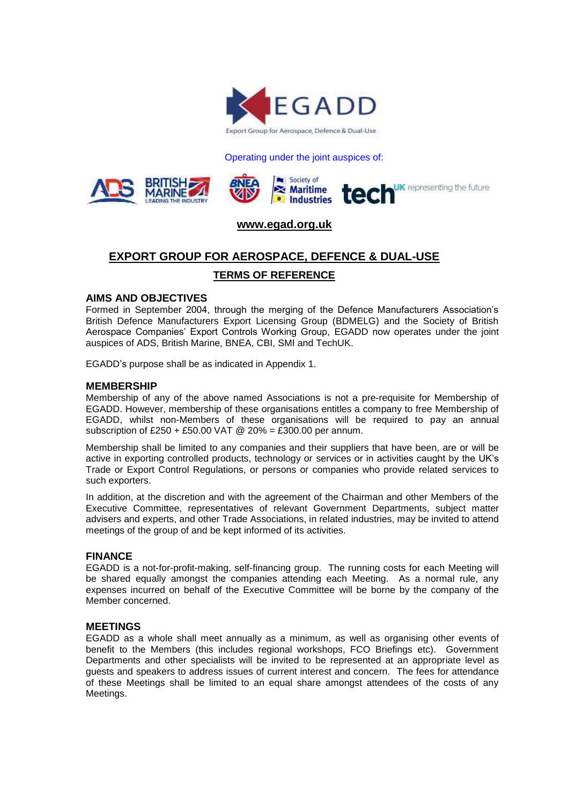

#### Operating under the joint auspices of:



## **[www.egad.org.uk](http://www.egad.org.uk/)**

# **EXPORT GROUP FOR AEROSPACE, DEFENCE & DUAL-USE**

## **TERMS OF REFERENCE**

#### **AIMS AND OBJECTIVES**

Formed in September 2004, through the merging of the Defence Manufacturers Association's British Defence Manufacturers Export Licensing Group (BDMELG) and the Society of British Aerospace Companies' Export Controls Working Group, EGADD now operates under the joint auspices of ADS, British Marine, BNEA, CBI, SMI and TechUK.

EGADD's purpose shall be as indicated in Appendix 1.

#### **MEMBERSHIP**

Membership of any of the above named Associations is not a pre-requisite for Membership of EGADD. However, membership of these organisations entitles a company to free Membership of EGADD, whilst non-Members of these organisations will be required to pay an annual subscription of £250 + £50.00 VAT @ 20% = £300.00 per annum.

Membership shall be limited to any companies and their suppliers that have been, are or will be active in exporting controlled products, technology or services or in activities caught by the UK's Trade or Export Control Regulations, or persons or companies who provide related services to such exporters.

In addition, at the discretion and with the agreement of the Chairman and other Members of the Executive Committee, representatives of relevant Government Departments, subject matter advisers and experts, and other Trade Associations, in related industries, may be invited to attend meetings of the group of and be kept informed of its activities.

## **FINANCE**

EGADD is a not-for-profit-making, self-financing group. The running costs for each Meeting will be shared equally amongst the companies attending each Meeting. As a normal rule, any expenses incurred on behalf of the Executive Committee will be borne by the company of the Member concerned.

#### **MEETINGS**

EGADD as a whole shall meet annually as a minimum, as well as organising other events of benefit to the Members (this includes regional workshops, FCO Briefings etc). Government Departments and other specialists will be invited to be represented at an appropriate level as guests and speakers to address issues of current interest and concern. The fees for attendance of these Meetings shall be limited to an equal share amongst attendees of the costs of any Meetings.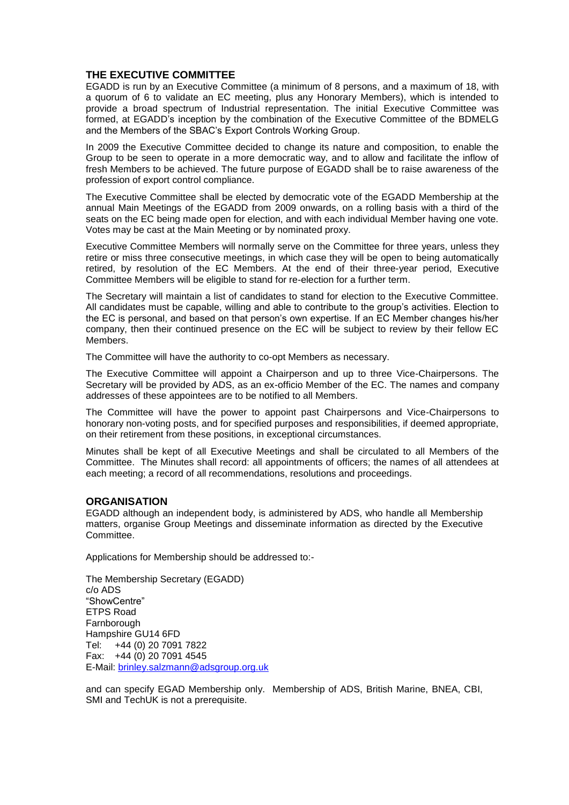## **THE EXECUTIVE COMMITTEE**

EGADD is run by an Executive Committee (a minimum of 8 persons, and a maximum of 18, with a quorum of 6 to validate an EC meeting, plus any Honorary Members), which is intended to provide a broad spectrum of Industrial representation. The initial Executive Committee was formed, at EGADD's inception by the combination of the Executive Committee of the BDMELG and the Members of the SBAC's Export Controls Working Group.

In 2009 the Executive Committee decided to change its nature and composition, to enable the Group to be seen to operate in a more democratic way, and to allow and facilitate the inflow of fresh Members to be achieved. The future purpose of EGADD shall be to raise awareness of the profession of export control compliance.

The Executive Committee shall be elected by democratic vote of the EGADD Membership at the annual Main Meetings of the EGADD from 2009 onwards, on a rolling basis with a third of the seats on the EC being made open for election, and with each individual Member having one vote. Votes may be cast at the Main Meeting or by nominated proxy.

Executive Committee Members will normally serve on the Committee for three years, unless they retire or miss three consecutive meetings, in which case they will be open to being automatically retired, by resolution of the EC Members. At the end of their three-year period, Executive Committee Members will be eligible to stand for re-election for a further term.

The Secretary will maintain a list of candidates to stand for election to the Executive Committee. All candidates must be capable, willing and able to contribute to the group's activities. Election to the EC is personal, and based on that person's own expertise. If an EC Member changes his/her company, then their continued presence on the EC will be subject to review by their fellow EC Members.

The Committee will have the authority to co-opt Members as necessary.

The Executive Committee will appoint a Chairperson and up to three Vice-Chairpersons. The Secretary will be provided by ADS, as an ex-officio Member of the EC. The names and company addresses of these appointees are to be notified to all Members.

The Committee will have the power to appoint past Chairpersons and Vice-Chairpersons to honorary non-voting posts, and for specified purposes and responsibilities, if deemed appropriate, on their retirement from these positions, in exceptional circumstances.

Minutes shall be kept of all Executive Meetings and shall be circulated to all Members of the Committee. The Minutes shall record: all appointments of officers; the names of all attendees at each meeting; a record of all recommendations, resolutions and proceedings.

#### **ORGANISATION**

EGADD although an independent body, is administered by ADS, who handle all Membership matters, organise Group Meetings and disseminate information as directed by the Executive **Committee.** 

Applications for Membership should be addressed to:-

The Membership Secretary (EGADD) c/o ADS "ShowCentre" ETPS Road Farnborough Hampshire GU14 6FD Tel: +44 (0) 20 7091 7822 Fax: +44 (0) 20 7091 4545 E-Mail: [brinley.salzmann@adsgroup.org.uk](mailto:brinley.salzmann@adsgroup.org.uk)

and can specify EGAD Membership only. Membership of ADS, British Marine, BNEA, CBI, SMI and TechUK is not a prerequisite.